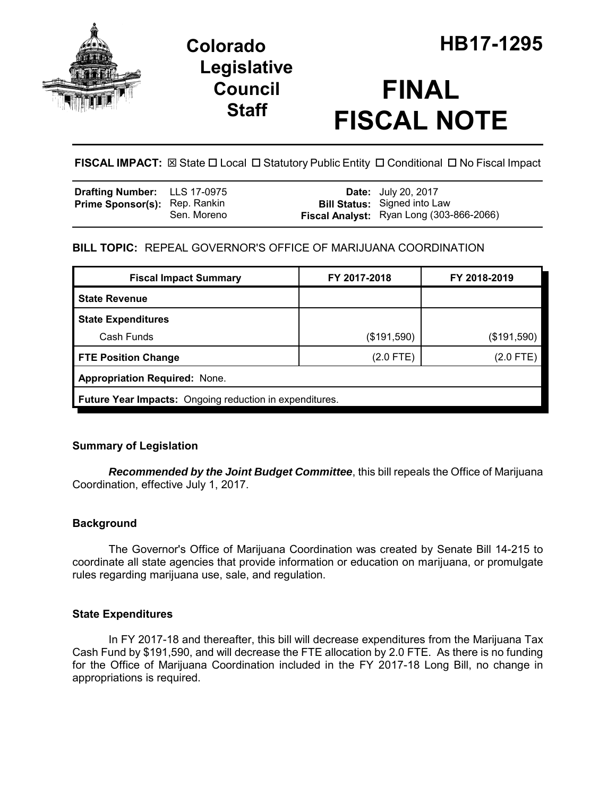

# **Legislative Council Staff**

# **FINAL FISCAL NOTE**

**FISCAL IMPACT:**  $\boxtimes$  **State □ Local □ Statutory Public Entity □ Conditional □ No Fiscal Impact** 

| <b>Drafting Number:</b> LLS 17-0975  |             | <b>Date:</b> July 20, 2017                                                      |
|--------------------------------------|-------------|---------------------------------------------------------------------------------|
| <b>Prime Sponsor(s): Rep. Rankin</b> | Sen. Moreno | <b>Bill Status:</b> Signed into Law<br>Fiscal Analyst: Ryan Long (303-866-2066) |

## **BILL TOPIC:** REPEAL GOVERNOR'S OFFICE OF MARIJUANA COORDINATION

| <b>Fiscal Impact Summary</b>                            | FY 2017-2018 | FY 2018-2019 |  |  |
|---------------------------------------------------------|--------------|--------------|--|--|
| <b>State Revenue</b>                                    |              |              |  |  |
| <b>State Expenditures</b>                               |              |              |  |  |
| Cash Funds                                              | (\$191,590)  | (\$191,590)  |  |  |
| <b>FTE Position Change</b>                              | $(2.0$ FTE)  | (2.0 FTE)    |  |  |
| <b>Appropriation Required: None.</b>                    |              |              |  |  |
| Future Year Impacts: Ongoing reduction in expenditures. |              |              |  |  |

### **Summary of Legislation**

*Recommended by the Joint Budget Committee*, this bill repeals the Office of Marijuana Coordination, effective July 1, 2017.

### **Background**

The Governor's Office of Marijuana Coordination was created by Senate Bill 14-215 to coordinate all state agencies that provide information or education on marijuana, or promulgate rules regarding marijuana use, sale, and regulation.

### **State Expenditures**

In FY 2017-18 and thereafter, this bill will decrease expenditures from the Marijuana Tax Cash Fund by \$191,590, and will decrease the FTE allocation by 2.0 FTE. As there is no funding for the Office of Marijuana Coordination included in the FY 2017-18 Long Bill, no change in appropriations is required.